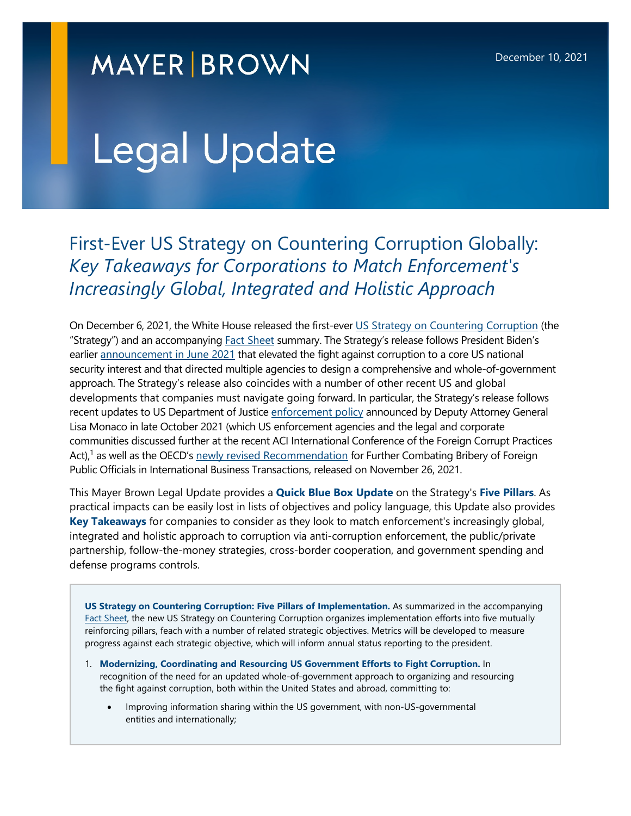## **MAYER BROWN**

# Legal Update

First-Ever US Strategy on Countering Corruption Globally: *Key Takeaways for Corporations to Match Enforcement's Increasingly Global, Integrated and Holistic Approach* 

On December 6, 2021, the White House released the first-ever [US Strategy on Countering Corruption](https://www.whitehouse.gov/wp-content/uploads/2021/12/United-States-Strategy-on-Countering-Corruption.pdf) (the "Strategy") and an accompanying **Fact Sheet summary. The Strategy's release follows President Biden's** earlier [announcement in June 2021](https://www.whitehouse.gov/briefing-room/presidential-actions/2021/06/03/memorandum-on-establishing-the-fight-against-corruption-as-a-core-united-states-national-security-interest/) that elevated the fight against corruption to a core US national security interest and that directed multiple agencies to design a comprehensive and whole-of-government approach. The Strategy's release also coincides with a number of other recent US and global developments that companies must navigate going forward. In particular, the Strategy's release follows recent updates to US Department of Justice [enforcement policy](https://cdn.lawreportgroup.com/acuris/files/anti-corruption-report/2021_10_28_dag_memo_re_corporate_enforcement.pdf) announced by Deputy Attorney General Lisa Monaco in late October 2021 (which US enforcement agencies and the legal and corporate communities discussed further at the recent ACI International Conference of the Foreign Corrupt Practices Act),<sup>[1](#page-9-0)</sup> as well as the OECD's [newly revised Recommendation](https://www.oecd.org/daf/anti-bribery/2021-oecd-anti-bribery-recommendation.htm) for Further Combating Bribery of Foreign Public Officials in International Business Transactions, released on November 26, 2021.

This Mayer Brown Legal Update provides a **Quick Blue Box Update** on the Strategy's **Five Pillars**. As practical impacts can be easily lost in lists of objectives and policy language, this Update also provides **Key Takeaways** for companies to consider as they look to match enforcement's increasingly global, integrated and holistic approach to corruption via anti-corruption enforcement, the public/private partnership, follow-the-money strategies, cross-border cooperation, and government spending and defense programs controls.

**US Strategy on Countering Corruption: Five Pillars of Implementation.** As summarized in the accompanying [Fact Sheet](https://www.whitehouse.gov/briefing-room/statements-releases/2021/12/06/fact-sheet-u-s-strategy-on-countering-corruption/), the new US Strategy on Countering Corruption organizes implementation efforts into five mutually reinforcing pillars, feach with a number of related strategic objectives. Metrics will be developed to measure progress against each strategic objective, which will inform annual status reporting to the president.

- 1. **Modernizing, Coordinating and Resourcing US Government Efforts to Fight Corruption.** In recognition of the need for an updated whole-of-government approach to organizing and resourcing the fight against corruption, both within the United States and abroad, committing to:
	- Improving information sharing within the US government, with non-US-governmental entities and internationally;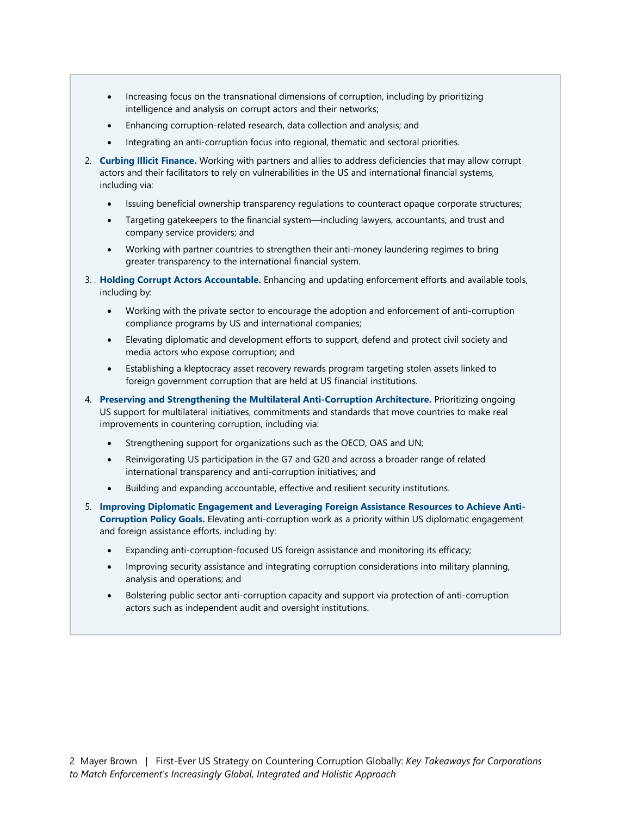- Increasing focus on the transnational dimensions of corruption, including by prioritizing intelligence and analysis on corrupt actors and their networks;
- Enhancing corruption-related research, data collection and analysis; and
- Integrating an anti-corruption focus into regional, thematic and sectoral priorities.
- 2. **Curbing Illicit Finance.** Working with partners and allies to address deficiencies that may allow corrupt actors and their facilitators to rely on vulnerabilities in the US and international financial systems, including via:
	- Issuing beneficial ownership transparency regulations to counteract opaque corporate structures;
	- Targeting gatekeepers to the financial system—including lawyers, accountants, and trust and company service providers; and
	- Working with partner countries to strengthen their anti-money laundering regimes to bring greater transparency to the international financial system.
- 3. **Holding Corrupt Actors Accountable.** Enhancing and updating enforcement efforts and available tools, including by:
	- Working with the private sector to encourage the adoption and enforcement of anti-corruption compliance programs by US and international companies;
	- Elevating diplomatic and development efforts to support, defend and protect civil society and media actors who expose corruption; and
	- Establishing a kleptocracy asset recovery rewards program targeting stolen assets linked to foreign government corruption that are held at US financial institutions.
- 4. **Preserving and Strengthening the Multilateral Anti-Corruption Architecture.** Prioritizing ongoing US support for multilateral initiatives, commitments and standards that move countries to make real improvements in countering corruption, including via:
	- Strengthening support for organizations such as the OECD, OAS and UN;
	- Reinvigorating US participation in the G7 and G20 and across a broader range of related international transparency and anti-corruption initiatives; and
	- Building and expanding accountable, effective and resilient security institutions.
- 5. **Improving Diplomatic Engagement and Leveraging Foreign Assistance Resources to Achieve Anti-Corruption Policy Goals.** Elevating anti-corruption work as a priority within US diplomatic engagement and foreign assistance efforts, including by:
	- Expanding anti-corruption-focused US foreign assistance and monitoring its efficacy;
	- Improving security assistance and integrating corruption considerations into military planning, analysis and operations; and
	- Bolstering public sector anti-corruption capacity and support via protection of anti-corruption actors such as independent audit and oversight institutions.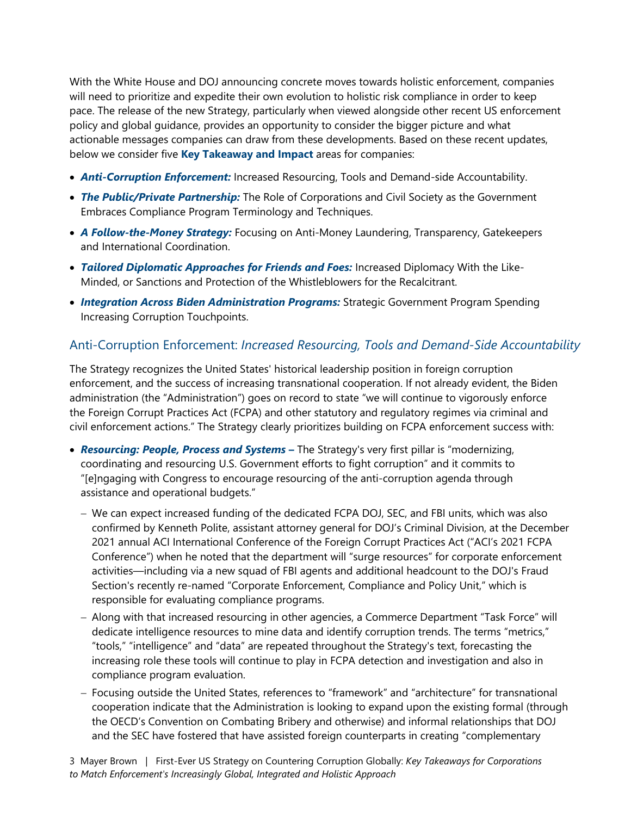With the White House and DOJ announcing concrete moves towards holistic enforcement, companies will need to prioritize and expedite their own evolution to holistic risk compliance in order to keep pace. The release of the new Strategy, particularly when viewed alongside other recent US enforcement policy and global guidance, provides an opportunity to consider the bigger picture and what actionable messages companies can draw from these developments. Based on these recent updates, below we consider five **Key Takeaway and Impact** areas for companies:

- *Anti-Corruption Enforcement:* Increased Resourcing, Tools and Demand-side Accountability.
- *The Public/Private Partnership:* The Role of Corporations and Civil Society as the Government Embraces Compliance Program Terminology and Techniques.
- *A Follow-the-Money Strategy:* Focusing on Anti-Money Laundering, Transparency, Gatekeepers and International Coordination.
- *Tailored Diplomatic Approaches for Friends and Foes:* Increased Diplomacy With the Like-Minded, or Sanctions and Protection of the Whistleblowers for the Recalcitrant.
- *Integration Across Biden Administration Programs:* Strategic Government Program Spending Increasing Corruption Touchpoints.

#### Anti-Corruption Enforcement: *Increased Resourcing, Tools and Demand-Side Accountability*

The Strategy recognizes the United States' historical leadership position in foreign corruption enforcement, and the success of increasing transnational cooperation. If not already evident, the Biden administration (the "Administration") goes on record to state "we will continue to vigorously enforce the Foreign Corrupt Practices Act (FCPA) and other statutory and regulatory regimes via criminal and civil enforcement actions." The Strategy clearly prioritizes building on FCPA enforcement success with:

- *Resourcing: People, Process and Systems* **–** The Strategy's very first pillar is "modernizing, coordinating and resourcing U.S. Government efforts to fight corruption" and it commits to "[e]ngaging with Congress to encourage resourcing of the anti-corruption agenda through assistance and operational budgets."
	- We can expect increased funding of the dedicated FCPA DOJ, SEC, and FBI units, which was also confirmed by Kenneth Polite, assistant attorney general for DOJ's Criminal Division, at the December 2021 annual ACI International Conference of the Foreign Corrupt Practices Act ("ACI's 2021 FCPA Conference") when he noted that the department will "surge resources" for corporate enforcement activities—including via a new squad of FBI agents and additional headcount to the DOJ's Fraud Section's recently re-named "Corporate Enforcement, Compliance and Policy Unit," which is responsible for evaluating compliance programs.
	- Along with that increased resourcing in other agencies, a Commerce Department "Task Force" will dedicate intelligence resources to mine data and identify corruption trends. The terms "metrics," "tools," "intelligence" and "data" are repeated throughout the Strategy's text, forecasting the increasing role these tools will continue to play in FCPA detection and investigation and also in compliance program evaluation.
	- Focusing outside the United States, references to "framework" and "architecture" for transnational cooperation indicate that the Administration is looking to expand upon the existing formal (through the OECD's Convention on Combating Bribery and otherwise) and informal relationships that DOJ and the SEC have fostered that have assisted foreign counterparts in creating "complementary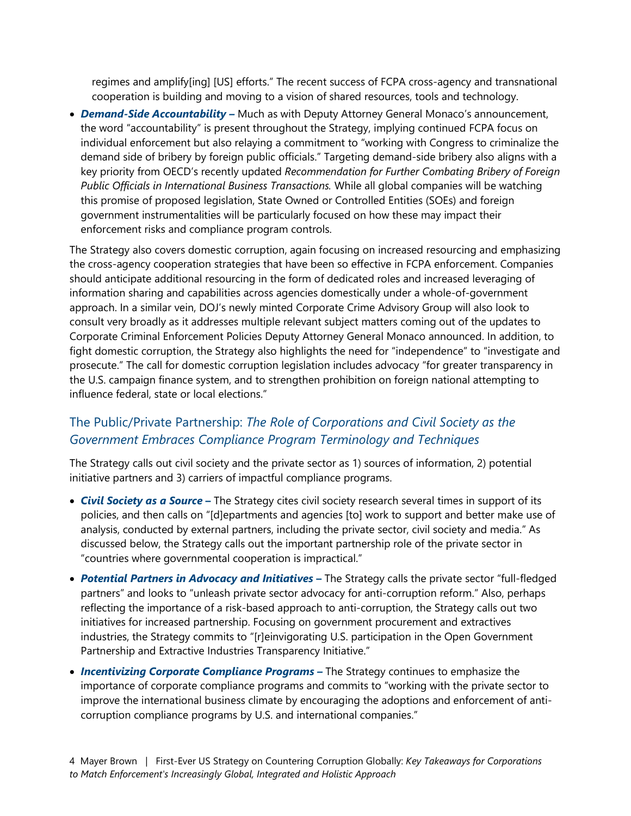regimes and amplify[ing] [US] efforts." The recent success of FCPA cross-agency and transnational cooperation is building and moving to a vision of shared resources, tools and technology.

 *Demand-Side Accountability –* Much as with Deputy Attorney General Monaco's announcement, the word "accountability" is present throughout the Strategy, implying continued FCPA focus on individual enforcement but also relaying a commitment to "working with Congress to criminalize the demand side of bribery by foreign public officials." Targeting demand-side bribery also aligns with a key priority from OECD's recently updated *Recommendation for Further Combating Bribery of Foreign Public Officials in International Business Transactions.* While all global companies will be watching this promise of proposed legislation, State Owned or Controlled Entities (SOEs) and foreign government instrumentalities will be particularly focused on how these may impact their enforcement risks and compliance program controls.

The Strategy also covers domestic corruption, again focusing on increased resourcing and emphasizing the cross-agency cooperation strategies that have been so effective in FCPA enforcement. Companies should anticipate additional resourcing in the form of dedicated roles and increased leveraging of information sharing and capabilities across agencies domestically under a whole-of-government approach. In a similar vein, DOJ's newly minted Corporate Crime Advisory Group will also look to consult very broadly as it addresses multiple relevant subject matters coming out of the updates to Corporate Criminal Enforcement Policies Deputy Attorney General Monaco announced. In addition, to fight domestic corruption, the Strategy also highlights the need for "independence" to "investigate and prosecute." The call for domestic corruption legislation includes advocacy "for greater transparency in the U.S. campaign finance system, and to strengthen prohibition on foreign national attempting to influence federal, state or local elections."

### The Public/Private Partnership: *The Role of Corporations and Civil Society as the Government Embraces Compliance Program Terminology and Techniques*

The Strategy calls out civil society and the private sector as 1) sources of information, 2) potential initiative partners and 3) carriers of impactful compliance programs.

- *Civil Society as a Source* **–** The Strategy cites civil society research several times in support of its policies, and then calls on "[d]epartments and agencies [to] work to support and better make use of analysis, conducted by external partners, including the private sector, civil society and media." As discussed below, the Strategy calls out the important partnership role of the private sector in "countries where governmental cooperation is impractical."
- *Potential Partners in Advocacy and Initiatives* **–** The Strategy calls the private sector "full-fledged partners" and looks to "unleash private sector advocacy for anti-corruption reform." Also, perhaps reflecting the importance of a risk-based approach to anti-corruption, the Strategy calls out two initiatives for increased partnership. Focusing on government procurement and extractives industries, the Strategy commits to "[r]einvigorating U.S. participation in the Open Government Partnership and Extractive Industries Transparency Initiative."
- *Incentivizing Corporate Compliance Programs –* The Strategy continues to emphasize the importance of corporate compliance programs and commits to "working with the private sector to improve the international business climate by encouraging the adoptions and enforcement of anticorruption compliance programs by U.S. and international companies."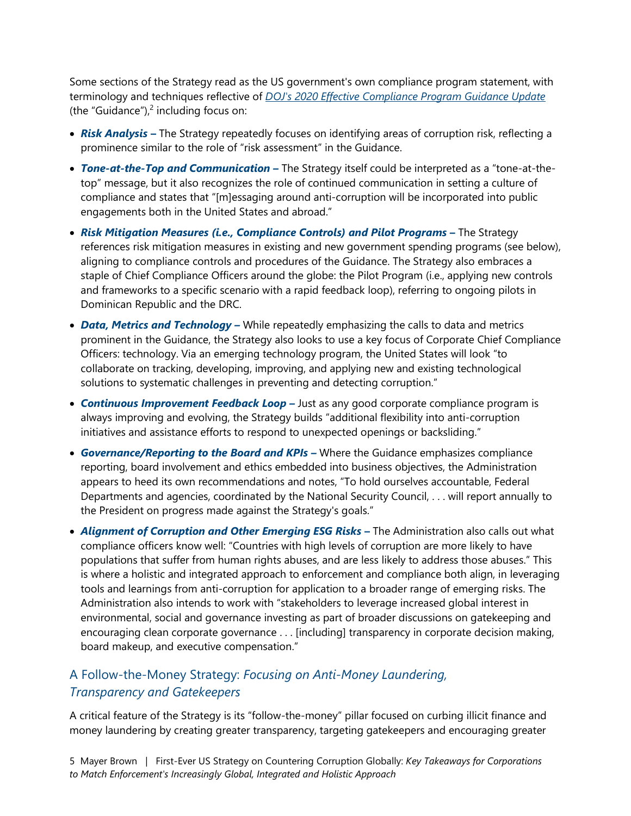Some sections of the Strategy read as the US government's own compliance program statement, with terminology and techniques reflective of *[DOJ's 2020 Effective Compliance Program Guidance Update](https://www.justice.gov/criminal-fraud/page/file/937501/download)* (the"Guidance"), $<sup>2</sup>$  including focus on:</sup>

- *Risk Analysis* **–** The Strategy repeatedly focuses on identifying areas of corruption risk, reflecting a prominence similar to the role of "risk assessment" in the Guidance.
- *Tone-at-the-Top and Communication –* The Strategy itself could be interpreted as a "tone-at-thetop" message, but it also recognizes the role of continued communication in setting a culture of compliance and states that "[m]essaging around anti-corruption will be incorporated into public engagements both in the United States and abroad."
- **Risk Mitigation Measures (i.e., Compliance Controls) and Pilot Programs The Strategy** references risk mitigation measures in existing and new government spending programs (see below), aligning to compliance controls and procedures of the Guidance. The Strategy also embraces a staple of Chief Compliance Officers around the globe: the Pilot Program (i.e., applying new controls and frameworks to a specific scenario with a rapid feedback loop), referring to ongoing pilots in Dominican Republic and the DRC.
- *Data, Metrics and Technology –* While repeatedly emphasizing the calls to data and metrics prominent in the Guidance, the Strategy also looks to use a key focus of Corporate Chief Compliance Officers: technology. Via an emerging technology program, the United States will look "to collaborate on tracking, developing, improving, and applying new and existing technological solutions to systematic challenges in preventing and detecting corruption."
- **Continuous Improvement Feedback Loop** Just as any good corporate compliance program is always improving and evolving, the Strategy builds "additional flexibility into anti-corruption initiatives and assistance efforts to respond to unexpected openings or backsliding."
- **Governance/Reporting to the Board and KPIs -** Where the Guidance emphasizes compliance reporting, board involvement and ethics embedded into business objectives, the Administration appears to heed its own recommendations and notes, "To hold ourselves accountable, Federal Departments and agencies, coordinated by the National Security Council, . . . will report annually to the President on progress made against the Strategy's goals."
- **Alignment of Corruption and Other Emerging ESG Risks The Administration also calls out what** compliance officers know well: "Countries with high levels of corruption are more likely to have populations that suffer from human rights abuses, and are less likely to address those abuses." This is where a holistic and integrated approach to enforcement and compliance both align, in leveraging tools and learnings from anti-corruption for application to a broader range of emerging risks. The Administration also intends to work with "stakeholders to leverage increased global interest in environmental, social and governance investing as part of broader discussions on gatekeeping and encouraging clean corporate governance . . . [including] transparency in corporate decision making, board makeup, and executive compensation."

#### A Follow-the-Money Strategy: *Focusing on Anti-Money Laundering, Transparency and Gatekeepers*

A critical feature of the Strategy is its "follow-the-money" pillar focused on curbing illicit finance and money laundering by creating greater transparency, targeting gatekeepers and encouraging greater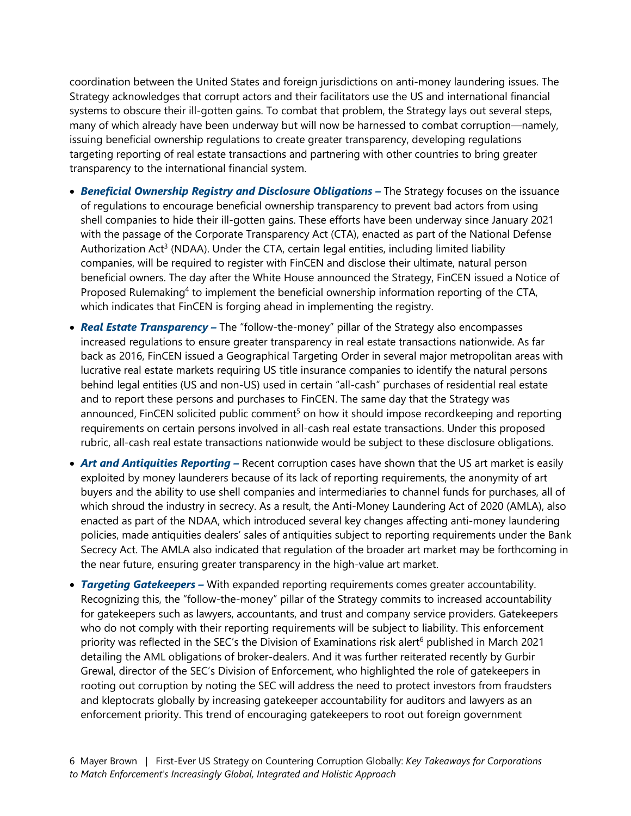coordination between the United States and foreign jurisdictions on anti-money laundering issues. The Strategy acknowledges that corrupt actors and their facilitators use the US and international financial systems to obscure their ill-gotten gains. To combat that problem, the Strategy lays out several steps, many of which already have been underway but will now be harnessed to combat corruption—namely, issuing beneficial ownership regulations to create greater transparency, developing regulations targeting reporting of real estate transactions and partnering with other countries to bring greater transparency to the international financial system.

- *Beneficial Ownership Registry and Disclosure Obligations –* The Strategy focuses on the issuance of regulations to encourage beneficial ownership transparency to prevent bad actors from using shell companies to hide their ill-gotten gains. These efforts have been underway since January 2021 with the passage of the Corporate Transparency Act (CTA), enacted as part of the National Defense Authorization Act<sup>[3](#page-9-2)</sup> (NDAA). Under the CTA, certain legal entities, including limited liability companies, will be required to register with FinCEN and disclose their ultimate, natural person beneficial owners. The day after the White House announced the Strategy, FinCEN issued a Notice of Proposed Rulemaking<sup>[4](#page-9-3)</sup> to implement the beneficial ownership information reporting of the CTA, which indicates that FinCEN is forging ahead in implementing the registry.
- **Real Estate Transparency** The "follow-the-money" pillar of the Strategy also encompasses increased regulations to ensure greater transparency in real estate transactions nationwide. As far back as 2016, FinCEN issued a Geographical Targeting Order in several major metropolitan areas with lucrative real estate markets requiring US title insurance companies to identify the natural persons behind legal entities (US and non-US) used in certain "all-cash" purchases of residential real estate and to report these persons and purchases to FinCEN. The same day that the Strategy was announced, FinCEN solicited public comment<sup>[5](#page-9-4)</sup> on how it should impose recordkeeping and reporting requirements on certain persons involved in all-cash real estate transactions. Under this proposed rubric, all-cash real estate transactions nationwide would be subject to these disclosure obligations.
- **Art and Antiquities Reporting –** Recent corruption cases have shown that the US art market is easily exploited by money launderers because of its lack of reporting requirements, the anonymity of art buyers and the ability to use shell companies and intermediaries to channel funds for purchases, all of which shroud the industry in secrecy. As a result, the Anti-Money Laundering Act of 2020 (AMLA), also enacted as part of the NDAA, which introduced several key changes affecting anti-money laundering policies, made antiquities dealers' sales of antiquities subject to reporting requirements under the Bank Secrecy Act. The AMLA also indicated that regulation of the broader art market may be forthcoming in the near future, ensuring greater transparency in the high-value art market.
- *Targeting Gatekeepers –* With expanded reporting requirements comes greater accountability. Recognizing this, the "follow-the-money" pillar of the Strategy commits to increased accountability for gatekeepers such as lawyers, accountants, and trust and company service providers. Gatekeepers who do not comply with their reporting requirements will be subject to liability. This enforcement prioritywas reflected in the SEC's the Division of Examinations risk alert<sup>6</sup> published in March 2021 detailing the AML obligations of broker-dealers. And it was further reiterated recently by Gurbir Grewal, director of the SEC's Division of Enforcement, who highlighted the role of gatekeepers in rooting out corruption by noting the SEC will address the need to protect investors from fraudsters and kleptocrats globally by increasing gatekeeper accountability for auditors and lawyers as an enforcement priority. This trend of encouraging gatekeepers to root out foreign government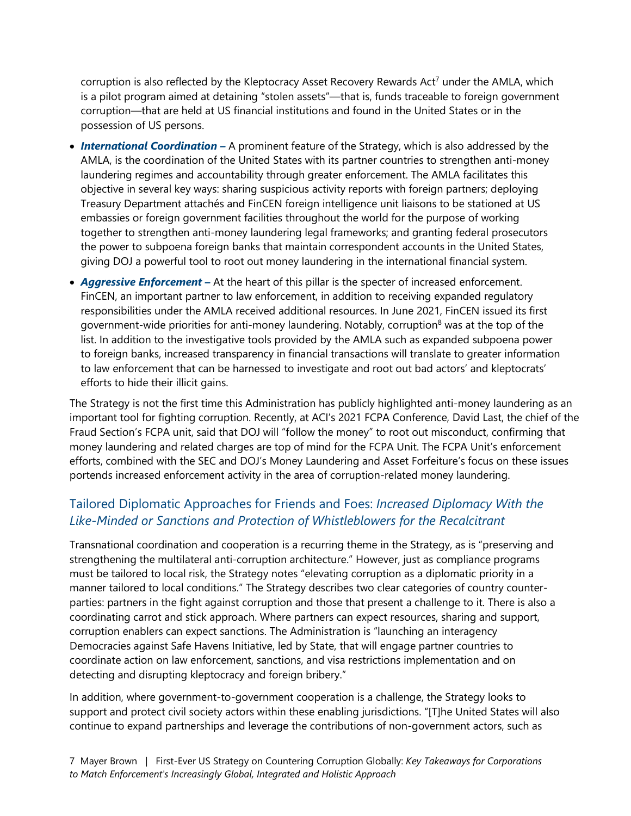corruption is also reflected by the Kleptocracy Asset Recovery Rewards Act<sup>[7](#page-9-6)</sup> under the AMLA, which is a pilot program aimed at detaining "stolen assets"—that is, funds traceable to foreign government corruption—that are held at US financial institutions and found in the United States or in the possession of US persons.

- **International Coordination** A prominent feature of the Strategy, which is also addressed by the AMLA, is the coordination of the United States with its partner countries to strengthen anti-money laundering regimes and accountability through greater enforcement. The AMLA facilitates this objective in several key ways: sharing suspicious activity reports with foreign partners; deploying Treasury Department attachés and FinCEN foreign intelligence unit liaisons to be stationed at US embassies or foreign government facilities throughout the world for the purpose of working together to strengthen anti-money laundering legal frameworks; and granting federal prosecutors the power to subpoena foreign banks that maintain correspondent accounts in the United States, giving DOJ a powerful tool to root out money laundering in the international financial system.
- *Aggressive Enforcement –* At the heart of this pillar is the specter of increased enforcement. FinCEN, an important partner to law enforcement, in addition to receiving expanded regulatory responsibilities under the AMLA received additional resources. In June 2021, FinCEN issued its first government-wide priorities for anti-money laundering. Notably, corruption<sup>[8](#page-9-7)</sup> was at the top of the list. In addition to the investigative tools provided by the AMLA such as expanded subpoena power to foreign banks, increased transparency in financial transactions will translate to greater information to law enforcement that can be harnessed to investigate and root out bad actors' and kleptocrats' efforts to hide their illicit gains.

The Strategy is not the first time this Administration has publicly highlighted anti-money laundering as an important tool for fighting corruption. Recently, at ACI's 2021 FCPA Conference, David Last, the chief of the Fraud Section's FCPA unit, said that DOJ will "follow the money" to root out misconduct, confirming that money laundering and related charges are top of mind for the FCPA Unit. The FCPA Unit's enforcement efforts, combined with the SEC and DOJ's Money Laundering and Asset Forfeiture's focus on these issues portends increased enforcement activity in the area of corruption-related money laundering.

#### Tailored Diplomatic Approaches for Friends and Foes: *Increased Diplomacy With the Like-Minded or Sanctions and Protection of Whistleblowers for the Recalcitrant*

Transnational coordination and cooperation is a recurring theme in the Strategy, as is "preserving and strengthening the multilateral anti-corruption architecture." However, just as compliance programs must be tailored to local risk, the Strategy notes "elevating corruption as a diplomatic priority in a manner tailored to local conditions." The Strategy describes two clear categories of country counterparties: partners in the fight against corruption and those that present a challenge to it. There is also a coordinating carrot and stick approach. Where partners can expect resources, sharing and support, corruption enablers can expect sanctions. The Administration is "launching an interagency Democracies against Safe Havens Initiative, led by State, that will engage partner countries to coordinate action on law enforcement, sanctions, and visa restrictions implementation and on detecting and disrupting kleptocracy and foreign bribery."

In addition, where government-to-government cooperation is a challenge, the Strategy looks to support and protect civil society actors within these enabling jurisdictions. "[T]he United States will also continue to expand partnerships and leverage the contributions of non-government actors, such as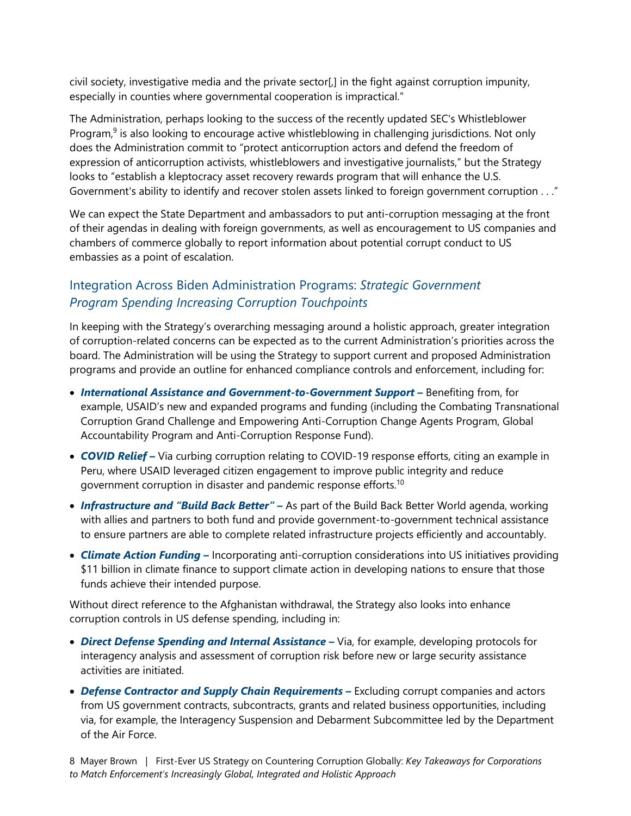civil society, investigative media and the private sector[,] in the fight against corruption impunity, especially in counties where governmental cooperation is impractical."

The Administration, perhaps looking to the success of the recently updated SEC's Whistleblower Program,<sup>[9](#page-9-8)</sup> is also looking to encourage active whistleblowing in challenging jurisdictions. Not only does the Administration commit to "protect anticorruption actors and defend the freedom of expression of anticorruption activists, whistleblowers and investigative journalists," but the Strategy looks to "establish a kleptocracy asset recovery rewards program that will enhance the U.S. Government's ability to identify and recover stolen assets linked to foreign government corruption . . ."

We can expect the State Department and ambassadors to put anti-corruption messaging at the front of their agendas in dealing with foreign governments, as well as encouragement to US companies and chambers of commerce globally to report information about potential corrupt conduct to US embassies as a point of escalation.

#### Integration Across Biden Administration Programs: *Strategic Government Program Spending Increasing Corruption Touchpoints*

In keeping with the Strategy's overarching messaging around a holistic approach, greater integration of corruption-related concerns can be expected as to the current Administration's priorities across the board. The Administration will be using the Strategy to support current and proposed Administration programs and provide an outline for enhanced compliance controls and enforcement, including for:

- *International Assistance and Government-to-Government Support* **–** Benefiting from, for example, USAID's new and expanded programs and funding (including the Combating Transnational Corruption Grand Challenge and Empowering Anti-Corruption Change Agents Program, Global Accountability Program and Anti-Corruption Response Fund).
- *COVID Relief –* Via curbing corruption relating to COVID-19 response efforts, citing an example in Peru, where USAID leveraged citizen engagement to improve public integrity and reduce government corruption in disaster and pandemic response efforts.[10](#page-9-9)
- *Infrastructure and "Build Back Better" –* As part of the Build Back Better World agenda, working with allies and partners to both fund and provide government-to-government technical assistance to ensure partners are able to complete related infrastructure projects efficiently and accountably.
- *Climate Action Funding –* Incorporating anti-corruption considerations into US initiatives providing \$11 billion in climate finance to support climate action in developing nations to ensure that those funds achieve their intended purpose.

Without direct reference to the Afghanistan withdrawal, the Strategy also looks into enhance corruption controls in US defense spending, including in:

- *Direct Defense Spending and Internal Assistance*Via, for example, developing protocols for interagency analysis and assessment of corruption risk before new or large security assistance activities are initiated.
- *Defense Contractor and Supply Chain Requirements* **–** Excluding corrupt companies and actors from US government contracts, subcontracts, grants and related business opportunities, including via, for example, the Interagency Suspension and Debarment Subcommittee led by the Department of the Air Force.

8 Mayer Brown | First-Ever US Strategy on Countering Corruption Globally: *Key Takeaways for Corporations to Match Enforcement's Increasingly Global, Integrated and Holistic Approach*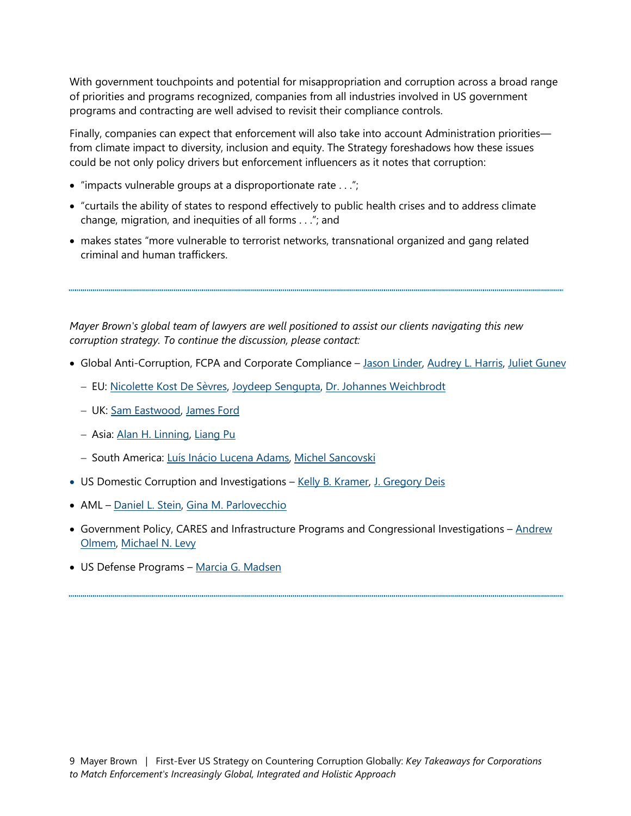With government touchpoints and potential for misappropriation and corruption across a broad range of priorities and programs recognized, companies from all industries involved in US government programs and contracting are well advised to revisit their compliance controls.

Finally, companies can expect that enforcement will also take into account Administration priorities from climate impact to diversity, inclusion and equity. The Strategy foreshadows how these issues could be not only policy drivers but enforcement influencers as it notes that corruption:

- $\bullet$  "impacts vulnerable groups at a disproportionate rate  $\dots$ ";
- "curtails the ability of states to respond effectively to public health crises and to address climate change, migration, and inequities of all forms . . ."; and
- makes states "more vulnerable to terrorist networks, transnational organized and gang related criminal and human traffickers.

*Mayer Brown's global team of lawyers are well positioned to assist our clients navigating this new corruption strategy. To continue the discussion, please contact:* 

- Global Anti-Corruption, FCPA and Corporate Compliance – [Jason Linder,](https://www.mayerbrown.com/en/people/l/jason-linder?tab=overview) [Audrey L. Harris](https://www.mayerbrown.com/en/people/h/harris-audrey-l?tab=overview), [Juliet Gunev](https://www.mayerbrown.com/en/people/g/juliet-gunev?tab=perspectives-events)
	- EU: [Nicolette Kost De Sèvres](https://www.mayerbrown.com/en/people/k/kost-de-sevres-nicolette?tab=overview), [Joydeep Sengupta](https://www.mayerbrown.com/en/people/s/sengupta-joydeep?tab=overview), [Dr. Johannes Weichbrodt](https://www.mayerbrown.com/en/people/w/weichbrodt-johannes?tab=overview)
	- UK: [Sam Eastwood](https://www.mayerbrown.com/en/people/e/eastwood-sam?tab=overview), [James Ford](https://www.mayerbrown.com/en/people/f/ford-james?tab=overview)
	- Asia: [Alan H. Linning,](https://www.mayerbrown.com/en/people/l/linning-alan-h?tab=overview) [Liang Pu](https://www.mayerbrown.com/en/people/p/pu-liang?tab=overview)
	- South America: [Luís Inácio Lucena Adams,](https://www.mayerbrown.com/en/people/a/adams-lus-incio-lucena?tab=overview) [Michel Sancovski](https://www.mayerbrown.com/en/people/s/sancovski-michel?tab=overview)
- US Domestic Corruption and Investigations [Kelly B. Kramer,](https://www.mayerbrown.com/en/people/k/kramer-kelly-b?tab=overview) [J. Gregory Deis](https://www.mayerbrown.com/en/people/d/deis-j-gregory?tab=overview)
- AML [Daniel L. Stein,](https://www.mayerbrown.com/en/people/s/stein-daniel-l?tab=overview) [Gina M. Parlovecchio](https://www.mayerbrown.com/en/people/p/gina-parlovecchio?tab=overview)
- Government Policy, CARES and Infrastructure Programs and Congressional Investigations Andrew [Olmem, Michael N. Levy](https://www.mayerbrown.com/en/people/o/andrew-olmem?tab=overview)
- US Defense Programs [Marcia G. Madsen](https://www.mayerbrown.com/en/people/m/madsen-marcia-g?tab=overview)